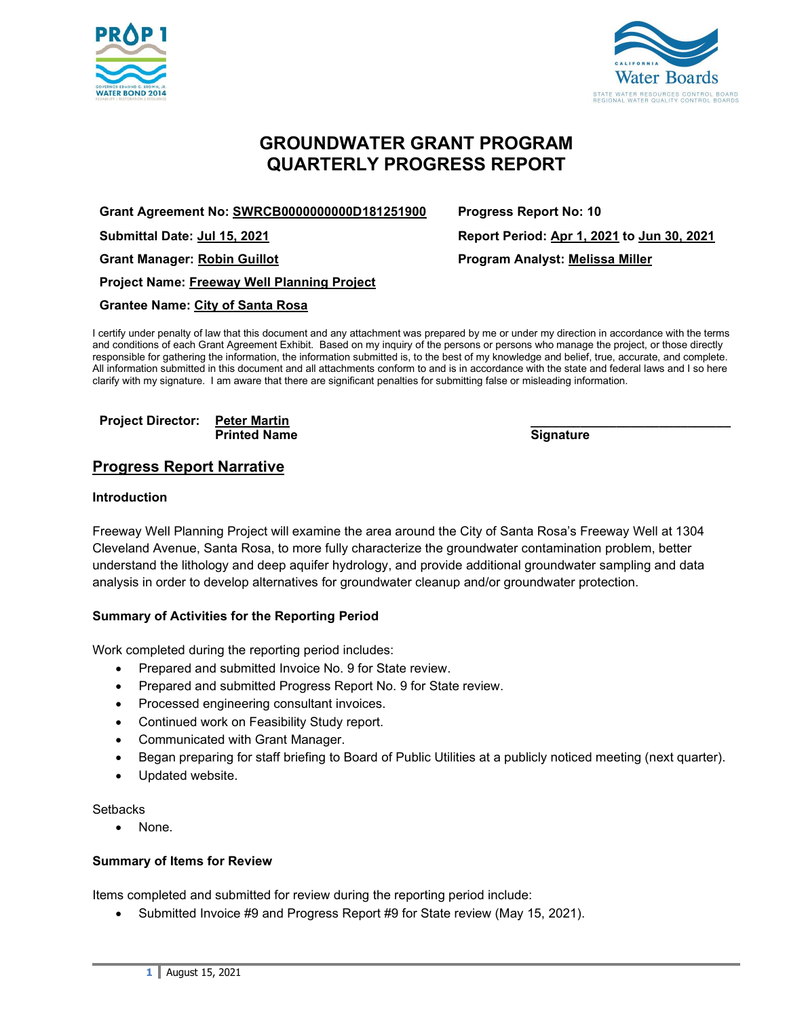



# **GROUNDWATER GRANT PROGRAM QUARTERLY PROGRESS REPORT**

**Grant Agreement No: SWRCB0000000000D181251900 Progress Report No: 10**

**Project Name: Freeway Well Planning Project**

## **Grantee Name: City of Santa Rosa**

I certify under penalty of law that this document and any attachment was prepared by me or under my direction in accordance with the terms and conditions of each Grant Agreement Exhibit. Based on my inquiry of the persons or persons who manage the project, or those directly responsible for gathering the information, the information submitted is, to the best of my knowledge and belief, true, accurate, and complete. All information submitted in this document and all attachments conform to and is in accordance with the state and federal laws and I so here clarify with my signature. I am aware that there are significant penalties for submitting false or misleading information.

#### **Project Director: Peter Martin \_\_\_\_\_\_\_\_\_\_\_\_\_\_\_\_\_\_\_\_\_\_\_\_\_\_\_\_ Printed Name**

# **Progress Report Narrative**

### **Introduction**

Freeway Well Planning Project will examine the area around the City of Santa Rosa's Freeway Well at 1304 Cleveland Avenue, Santa Rosa, to more fully characterize the groundwater contamination problem, better understand the lithology and deep aquifer hydrology, and provide additional groundwater sampling and data analysis in order to develop alternatives for groundwater cleanup and/or groundwater protection.

## **Summary of Activities for the Reporting Period**

Work completed during the reporting period includes:

- Prepared and submitted Invoice No. 9 for State review.
- Prepared and submitted Progress Report No. 9 for State review.
- Processed engineering consultant invoices.
- Continued work on Feasibility Study report.
- Communicated with Grant Manager.
- Began preparing for staff briefing to Board of Public Utilities at a publicly noticed meeting (next quarter).
- Updated website.

#### **Setbacks**

• None.

#### **Summary of Items for Review**

Items completed and submitted for review during the reporting period include:

• Submitted Invoice #9 and Progress Report #9 for State review (May 15, 2021).

**Submittal Date: Jul 15, 2021 Report Period: Apr 1, 2021 to Jun 30, 2021 Grant Manager: Robin Guillot Program Analyst: Melissa Miller**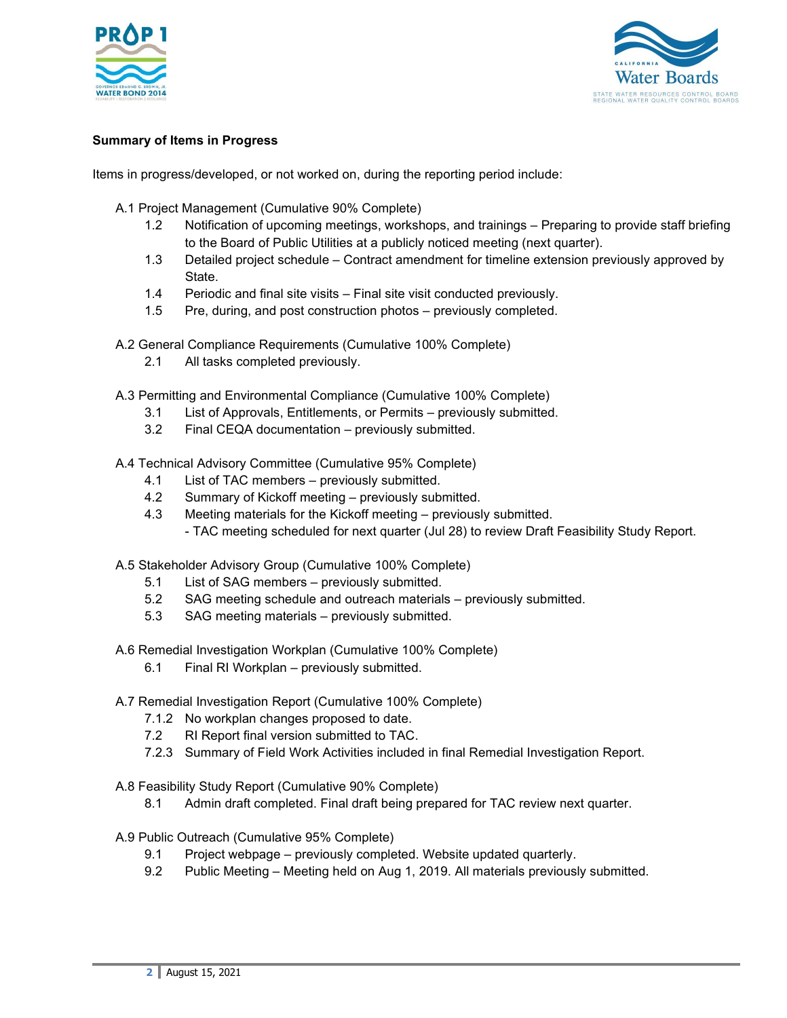



# **Summary of Items in Progress**

Items in progress/developed, or not worked on, during the reporting period include:

- A.1 Project Management (Cumulative 90% Complete)
	- 1.2 Notification of upcoming meetings, workshops, and trainings Preparing to provide staff briefing to the Board of Public Utilities at a publicly noticed meeting (next quarter).
	- 1.3 Detailed project schedule Contract amendment for timeline extension previously approved by **State**
	- 1.4 Periodic and final site visits Final site visit conducted previously.
	- 1.5 Pre, during, and post construction photos previously completed.
- A.2 General Compliance Requirements (Cumulative 100% Complete)
	- 2.1 All tasks completed previously.
- A.3 Permitting and Environmental Compliance (Cumulative 100% Complete)
	- 3.1 List of Approvals, Entitlements, or Permits previously submitted.
	- 3.2 Final CEQA documentation previously submitted.

A.4 Technical Advisory Committee (Cumulative 95% Complete)

- 4.1 List of TAC members previously submitted.
- 4.2 Summary of Kickoff meeting previously submitted.
- 4.3 Meeting materials for the Kickoff meeting previously submitted. - TAC meeting scheduled for next quarter (Jul 28) to review Draft Feasibility Study Report.

A.5 Stakeholder Advisory Group (Cumulative 100% Complete)

- 5.1 List of SAG members previously submitted.
- 5.2 SAG meeting schedule and outreach materials previously submitted.
- 5.3 SAG meeting materials previously submitted.

A.6 Remedial Investigation Workplan (Cumulative 100% Complete)

- 6.1 Final RI Workplan previously submitted.
- A.7 Remedial Investigation Report (Cumulative 100% Complete)
	- 7.1.2 No workplan changes proposed to date.
	- 7.2 RI Report final version submitted to TAC.
	- 7.2.3 Summary of Field Work Activities included in final Remedial Investigation Report.
- A.8 Feasibility Study Report (Cumulative 90% Complete)
	- 8.1 Admin draft completed. Final draft being prepared for TAC review next quarter.
- A.9 Public Outreach (Cumulative 95% Complete)
	- 9.1 Project webpage previously completed. Website updated quarterly.
	- 9.2 Public Meeting Meeting held on Aug 1, 2019. All materials previously submitted.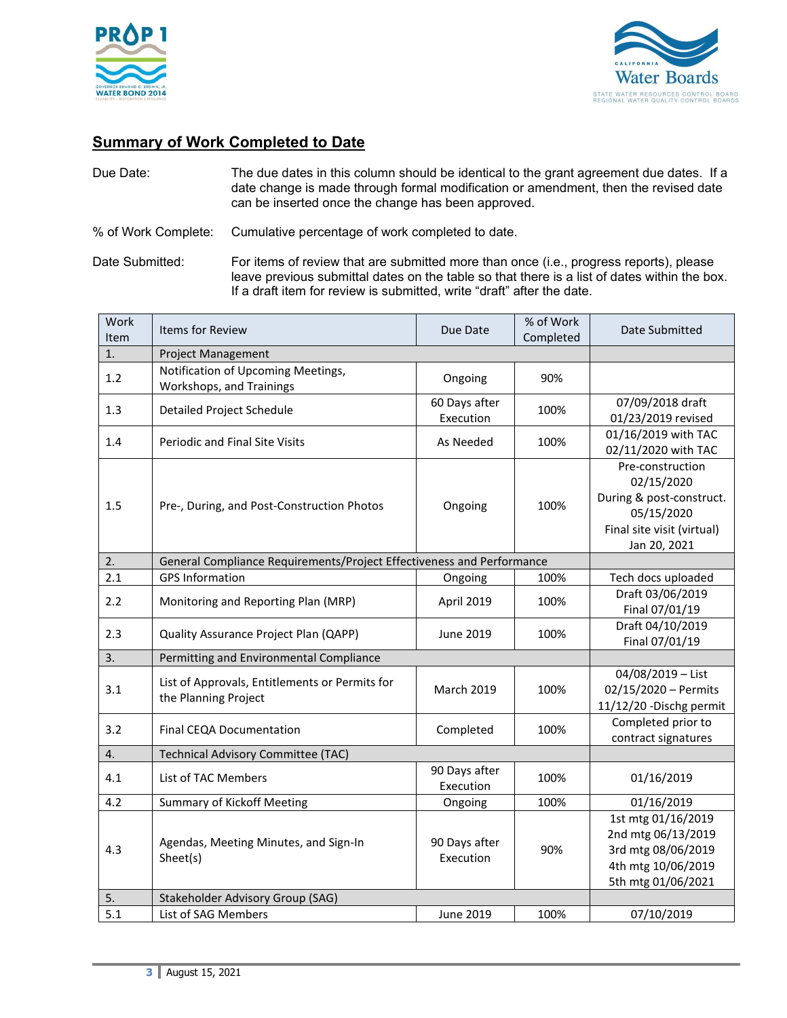



# **Summary of Work Completed to Date**

| Due Date: | The due dates in this column should be identical to the grant agreement due dates. If a                                                   |
|-----------|-------------------------------------------------------------------------------------------------------------------------------------------|
|           | date change is made through formal modification or amendment, then the revised date<br>can be inserted once the change has been approved. |
|           |                                                                                                                                           |

% of Work Complete: Cumulative percentage of work completed to date.

Date Submitted: For items of review that are submitted more than once (i.e., progress reports), please leave previous submittal dates on the table so that there is a list of dates within the box. If a draft item for review is submitted, write "draft" after the date.

| Work<br>Item | <b>Items for Review</b>                                                | Due Date                   | % of Work<br>Completed | Date Submitted                                                                                                         |
|--------------|------------------------------------------------------------------------|----------------------------|------------------------|------------------------------------------------------------------------------------------------------------------------|
| 1.           | Project Management                                                     |                            |                        |                                                                                                                        |
| 1.2          | Notification of Upcoming Meetings,<br>Workshops, and Trainings         | Ongoing                    | 90%                    |                                                                                                                        |
| 1.3          | <b>Detailed Project Schedule</b>                                       | 60 Days after<br>Execution | 100%                   | 07/09/2018 draft<br>01/23/2019 revised                                                                                 |
| 1.4          | <b>Periodic and Final Site Visits</b>                                  | As Needed                  | 100%                   | 01/16/2019 with TAC<br>02/11/2020 with TAC                                                                             |
| 1.5          | Pre-, During, and Post-Construction Photos                             | Ongoing                    | 100%                   | Pre-construction<br>02/15/2020<br>During & post-construct.<br>05/15/2020<br>Final site visit (virtual)<br>Jan 20, 2021 |
| 2.           | General Compliance Requirements/Project Effectiveness and Performance  |                            |                        |                                                                                                                        |
| 2.1          | <b>GPS Information</b>                                                 | Ongoing                    | 100%                   | Tech docs uploaded                                                                                                     |
| 2.2          | Monitoring and Reporting Plan (MRP)                                    | April 2019                 | 100%                   | Draft 03/06/2019<br>Final 07/01/19                                                                                     |
| 2.3          | Quality Assurance Project Plan (QAPP)                                  | June 2019                  | 100%                   | Draft 04/10/2019<br>Final 07/01/19                                                                                     |
| 3.           | Permitting and Environmental Compliance                                |                            |                        |                                                                                                                        |
| 3.1          | List of Approvals, Entitlements or Permits for<br>the Planning Project | <b>March 2019</b>          | 100%                   | 04/08/2019 - List<br>02/15/2020 - Permits<br>11/12/20 - Dischg permit                                                  |
| 3.2          | Final CEQA Documentation                                               | Completed                  | 100%                   | Completed prior to<br>contract signatures                                                                              |
| 4.           | Technical Advisory Committee (TAC)                                     |                            |                        |                                                                                                                        |
| 4.1          | List of TAC Members                                                    | 90 Days after<br>Execution | 100%                   | 01/16/2019                                                                                                             |
| 4.2          | <b>Summary of Kickoff Meeting</b>                                      | Ongoing                    | 100%                   | 01/16/2019                                                                                                             |
| 4.3          | Agendas, Meeting Minutes, and Sign-In<br>Sheet(s)                      | 90 Days after<br>Execution | 90%                    | 1st mtg 01/16/2019<br>2nd mtg 06/13/2019<br>3rd mtg 08/06/2019<br>4th mtg 10/06/2019<br>5th mtg 01/06/2021             |
| 5.           | Stakeholder Advisory Group (SAG)                                       |                            |                        |                                                                                                                        |
| 5.1          | List of SAG Members                                                    | June 2019                  | 100%                   | 07/10/2019                                                                                                             |